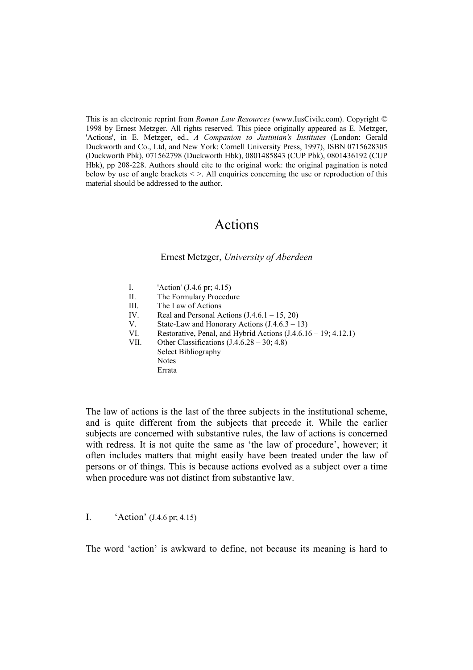This is an electronic reprint from *Roman Law Resources* (www.IusCivile.com). Copyright © 1998 by Ernest Metzger. All rights reserved. This piece originally appeared as E. Metzger, 'Actions', in E. Metzger, ed., *A Companion to Justinian's Institutes* (London: Gerald Duckworth and Co., Ltd, and New York: Cornell University Press, 1997), ISBN 0715628305 (Duckworth Pbk), 071562798 (Duckworth Hbk), 0801485843 (CUP Pbk), 0801436192 (CUP Hbk), pp 208-228. Authors should cite to the original work: the original pagination is noted below by use of angle brackets  $\leq$ . All enquiries concerning the use or reproduction of this material should be addressed to the author.

# Actions

# Ernest Metzger, *University of Aberdeen*

I. 'Action' (J.4.6 pr; 4.15) II. The Formulary Procedure III. The Law of Actions IV. Real and Personal Actions  $(3.4.6.1 - 15, 20)$ V. State-Law and Honorary Actions (J.4.6.3 – 13) VI. Restorative, Penal, and Hybrid Actions (J.4.6.16 – 19; 4.12.1) VII. Other Classifications (J.4.6.28 – 30; 4.8) Select Bibliography Notes Errata

The law of actions is the last of the three subjects in the institutional scheme, and is quite different from the subjects that precede it. While the earlier subjects are concerned with substantive rules, the law of actions is concerned with redress. It is not quite the same as 'the law of procedure', however; it often includes matters that might easily have been treated under the law of persons or of things. This is because actions evolved as a subject over a time when procedure was not distinct from substantive law.

I. 'Action' (J.4.6 pr; 4.15)

The word 'action' is awkward to define, not because its meaning is hard to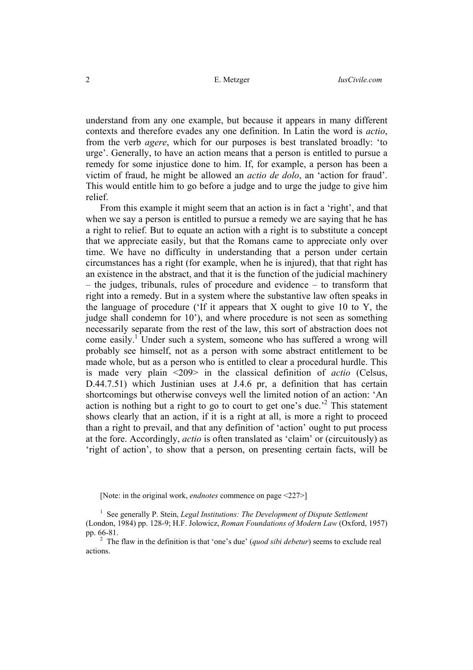understand from any one example, but because it appears in many different contexts and therefore evades any one definition. In Latin the word is *actio*, from the verb *agere*, which for our purposes is best translated broadly: 'to urge'. Generally, to have an action means that a person is entitled to pursue a remedy for some injustice done to him. If, for example, a person has been a victim of fraud, he might be allowed an *actio de dolo*, an 'action for fraud'. This would entitle him to go before a judge and to urge the judge to give him relief.

From this example it might seem that an action is in fact a 'right', and that when we say a person is entitled to pursue a remedy we are saying that he has a right to relief. But to equate an action with a right is to substitute a concept that we appreciate easily, but that the Romans came to appreciate only over time. We have no difficulty in understanding that a person under certain circumstances has a right (for example, when he is injured), that that right has an existence in the abstract, and that it is the function of the judicial machinery – the judges, tribunals, rules of procedure and evidence – to transform that right into a remedy. But in a system where the substantive law often speaks in the language of procedure ('If it appears that  $X$  ought to give 10 to  $Y$ , the judge shall condemn for 10'), and where procedure is not seen as something necessarily separate from the rest of the law, this sort of abstraction does not come easily.<sup>[1](#page-1-0)</sup> Under such a system, someone who has suffered a wrong will probably see himself, not as a person with some abstract entitlement to be made whole, but as a person who is entitled to clear a procedural hurdle. This is made very plain <209> in the classical definition of *actio* (Celsus, D.44.7.51) which Justinian uses at J.4.6 pr, a definition that has certain shortcomings but otherwise conveys well the limited notion of an action: 'An action is nothing but a right to go to court to get one's due.'<sup>2</sup> This statement shows clearly that an action, if it is a right at all, is more a right to proceed than a right to prevail, and that any definition of 'action' ought to put process at the fore. Accordingly, *actio* is often translated as 'claim' or (circuitously) as 'right of action', to show that a person, on presenting certain facts, will be

<span id="page-1-0"></span>[Note: in the original work, *endnotes* commence on page <227>]

<sup>1</sup> See generally P. Stein, *Legal Institutions: The Development of Dispute Settlement* (London, 1984) pp. 128-9; H.F. Jolowicz, *Roman Foundations of Modern Law* (Oxford, 1957) pp. 66-81. 2

<span id="page-1-1"></span><sup>&</sup>lt;sup>2</sup> The flaw in the definition is that 'one's due' (*quod sibi debetur*) seems to exclude real actions.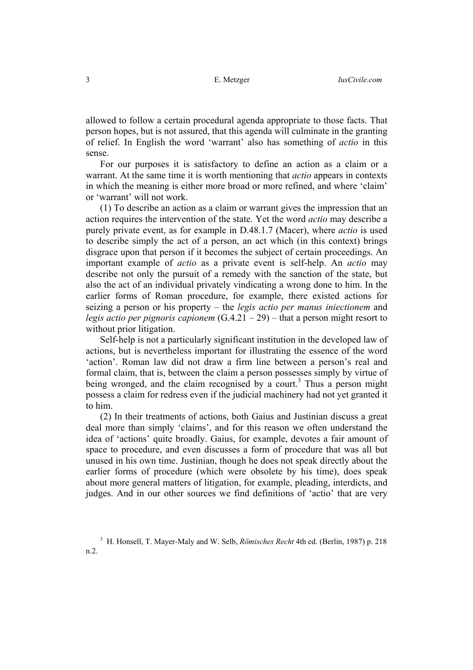allowed to follow a certain procedural agenda appropriate to those facts. That person hopes, but is not assured, that this agenda will culminate in the granting of relief. In English the word 'warrant' also has something of *actio* in this sense.

For our purposes it is satisfactory to define an action as a claim or a warrant. At the same time it is worth mentioning that *actio* appears in contexts in which the meaning is either more broad or more refined, and where 'claim' or 'warrant' will not work.

(1) To describe an action as a claim or warrant gives the impression that an action requires the intervention of the state. Yet the word *actio* may describe a purely private event, as for example in D.48.1.7 (Macer), where *actio* is used to describe simply the act of a person, an act which (in this context) brings disgrace upon that person if it becomes the subject of certain proceedings. An important example of *actio* as a private event is self-help. An *actio* may describe not only the pursuit of a remedy with the sanction of the state, but also the act of an individual privately vindicating a wrong done to him. In the earlier forms of Roman procedure, for example, there existed actions for seizing a person or his property – the *legis actio per manus iniectionem* and *legis actio per pignoris capionem* (G.4.21 – 29) – that a person might resort to without prior litigation.

Self-help is not a particularly significant institution in the developed law of actions, but is nevertheless important for illustrating the essence of the word 'action'. Roman law did not draw a firm line between a person's real and formal claim, that is, between the claim a person possesses simply by virtue of being wronged, and the claim recognised by a court.<sup>3</sup> Thus a person might possess a claim for redress even if the judicial machinery had not yet granted it to him.

(2) In their treatments of actions, both Gaius and Justinian discuss a great deal more than simply 'claims', and for this reason we often understand the idea of 'actions' quite broadly. Gaius, for example, devotes a fair amount of space to procedure, and even discusses a form of procedure that was all but unused in his own time. Justinian, though he does not speak directly about the earlier forms of procedure (which were obsolete by his time), does speak about more general matters of litigation, for example, pleading, interdicts, and judges. And in our other sources we find definitions of 'actio' that are very

<span id="page-2-0"></span><sup>3</sup> H. Honsell, T. Mayer-Maly and W. Selb, *Römisches Recht* 4th ed. (Berlin, 1987) p. 218 n.2.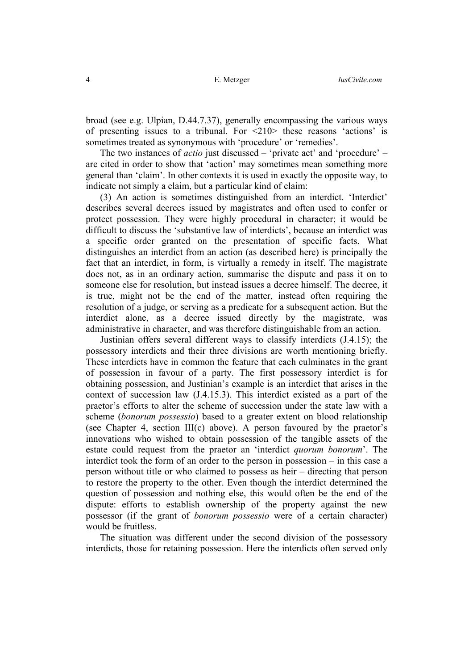broad (see e.g. Ulpian, D.44.7.37), generally encompassing the various ways of presenting issues to a tribunal. For <210> these reasons 'actions' is sometimes treated as synonymous with 'procedure' or 'remedies'.

The two instances of *actio* just discussed – 'private act' and 'procedure' – are cited in order to show that 'action' may sometimes mean something more general than 'claim'. In other contexts it is used in exactly the opposite way, to indicate not simply a claim, but a particular kind of claim:

(3) An action is sometimes distinguished from an interdict. 'Interdict' describes several decrees issued by magistrates and often used to confer or protect possession. They were highly procedural in character; it would be difficult to discuss the 'substantive law of interdicts', because an interdict was a specific order granted on the presentation of specific facts. What distinguishes an interdict from an action (as described here) is principally the fact that an interdict, in form, is virtually a remedy in itself. The magistrate does not, as in an ordinary action, summarise the dispute and pass it on to someone else for resolution, but instead issues a decree himself. The decree, it is true, might not be the end of the matter, instead often requiring the resolution of a judge, or serving as a predicate for a subsequent action. But the interdict alone, as a decree issued directly by the magistrate, was administrative in character, and was therefore distinguishable from an action.

Justinian offers several different ways to classify interdicts (J.4.15); the possessory interdicts and their three divisions are worth mentioning briefly. These interdicts have in common the feature that each culminates in the grant of possession in favour of a party. The first possessory interdict is for obtaining possession, and Justinian's example is an interdict that arises in the context of succession law (J.4.15.3). This interdict existed as a part of the praetor's efforts to alter the scheme of succession under the state law with a scheme (*bonorum possessio*) based to a greater extent on blood relationship (see Chapter 4, section III(c) above). A person favoured by the praetor's innovations who wished to obtain possession of the tangible assets of the estate could request from the praetor an 'interdict *quorum bonorum*'. The interdict took the form of an order to the person in possession – in this case a person without title or who claimed to possess as heir – directing that person to restore the property to the other. Even though the interdict determined the question of possession and nothing else, this would often be the end of the dispute: efforts to establish ownership of the property against the new possessor (if the grant of *bonorum possessio* were of a certain character) would be fruitless.

The situation was different under the second division of the possessory interdicts, those for retaining possession. Here the interdicts often served only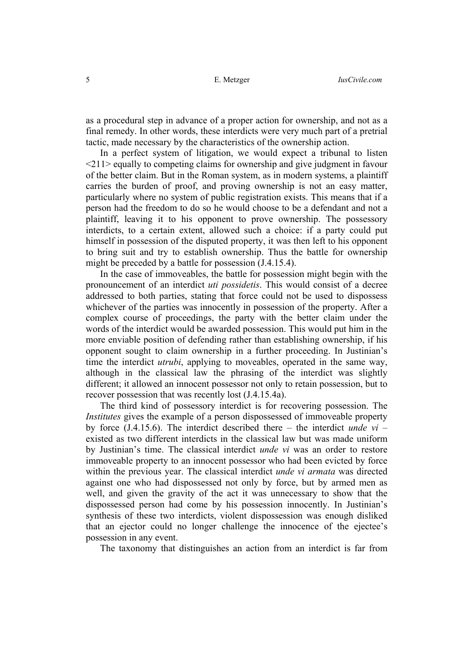as a procedural step in advance of a proper action for ownership, and not as a final remedy. In other words, these interdicts were very much part of a pretrial tactic, made necessary by the characteristics of the ownership action.

In a perfect system of litigation, we would expect a tribunal to listen  $\leq$ 211> equally to competing claims for ownership and give judgment in favour of the better claim. But in the Roman system, as in modern systems, a plaintiff carries the burden of proof, and proving ownership is not an easy matter, particularly where no system of public registration exists. This means that if a person had the freedom to do so he would choose to be a defendant and not a plaintiff, leaving it to his opponent to prove ownership. The possessory interdicts, to a certain extent, allowed such a choice: if a party could put himself in possession of the disputed property, it was then left to his opponent to bring suit and try to establish ownership. Thus the battle for ownership might be preceded by a battle for possession (J.4.15.4).

In the case of immoveables, the battle for possession might begin with the pronouncement of an interdict *uti possidetis*. This would consist of a decree addressed to both parties, stating that force could not be used to dispossess whichever of the parties was innocently in possession of the property. After a complex course of proceedings, the party with the better claim under the words of the interdict would be awarded possession. This would put him in the more enviable position of defending rather than establishing ownership, if his opponent sought to claim ownership in a further proceeding. In Justinian's time the interdict *utrubi*, applying to moveables, operated in the same way, although in the classical law the phrasing of the interdict was slightly different; it allowed an innocent possessor not only to retain possession, but to recover possession that was recently lost (J.4.15.4a).

The third kind of possessory interdict is for recovering possession. The *Institutes* gives the example of a person dispossessed of immoveable property by force (J.4.15.6). The interdict described there – the interdict *unde vi* – existed as two different interdicts in the classical law but was made uniform by Justinian's time. The classical interdict *unde vi* was an order to restore immoveable property to an innocent possessor who had been evicted by force within the previous year. The classical interdict *unde vi armata* was directed against one who had dispossessed not only by force, but by armed men as well, and given the gravity of the act it was unnecessary to show that the dispossessed person had come by his possession innocently. In Justinian's synthesis of these two interdicts, violent dispossession was enough disliked that an ejector could no longer challenge the innocence of the ejectee's possession in any event.

The taxonomy that distinguishes an action from an interdict is far from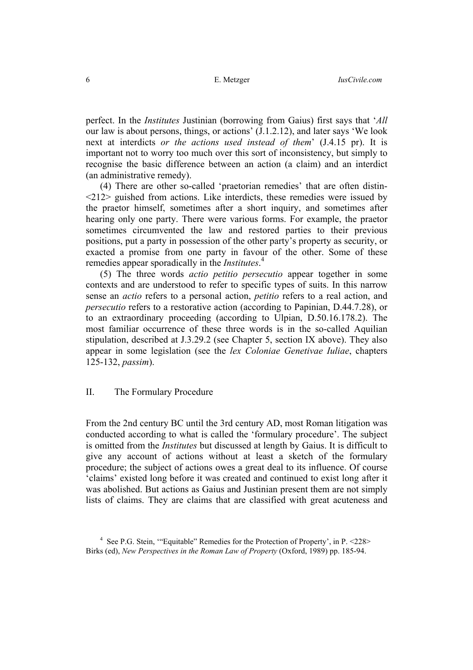perfect. In the *Institutes* Justinian (borrowing from Gaius) first says that '*All* our law is about persons, things, or actions' (J.1.2.12), and later says 'We look next at interdicts *or the actions used instead of them*' (J.4.15 pr). It is important not to worry too much over this sort of inconsistency, but simply to recognise the basic difference between an action (a claim) and an interdict (an administrative remedy).

(4) There are other so-called 'praetorian remedies' that are often distin- <212> guished from actions. Like interdicts, these remedies were issued by the praetor himself, sometimes after a short inquiry, and sometimes after hearing only one party. There were various forms. For example, the praetor sometimes circumvented the law and restored parties to their previous positions, put a party in possession of the other party's property as security, or exacted a promise from one party in favour of the other. Some of these remedies appear sporadically in the *Institutes*. [4](#page-5-0)

(5) The three words *actio petitio persecutio* appear together in some contexts and are understood to refer to specific types of suits. In this narrow sense an *actio* refers to a personal action, *petitio* refers to a real action, and *persecutio* refers to a restorative action (according to Papinian, D.44.7.28), or to an extraordinary proceeding (according to Ulpian, D.50.16.178.2). The most familiar occurrence of these three words is in the so-called Aquilian stipulation, described at J.3.29.2 (see Chapter 5, section IX above). They also appear in some legislation (see the *lex Coloniae Genetivae Iuliae*, chapters 125-132, *passim*).

### II. The Formulary Procedure

From the 2nd century BC until the 3rd century AD, most Roman litigation was conducted according to what is called the 'formulary procedure'. The subject is omitted from the *Institutes* but discussed at length by Gaius. It is difficult to give any account of actions without at least a sketch of the formulary procedure; the subject of actions owes a great deal to its influence. Of course 'claims' existed long before it was created and continued to exist long after it was abolished. But actions as Gaius and Justinian present them are not simply lists of claims. They are claims that are classified with great acuteness and

<span id="page-5-0"></span><sup>&</sup>lt;sup>4</sup> See P.G. Stein, "Equitable" Remedies for the Protection of Property', in P. <228> Birks (ed), *New Perspectives in the Roman Law of Property* (Oxford, 1989) pp. 185-94.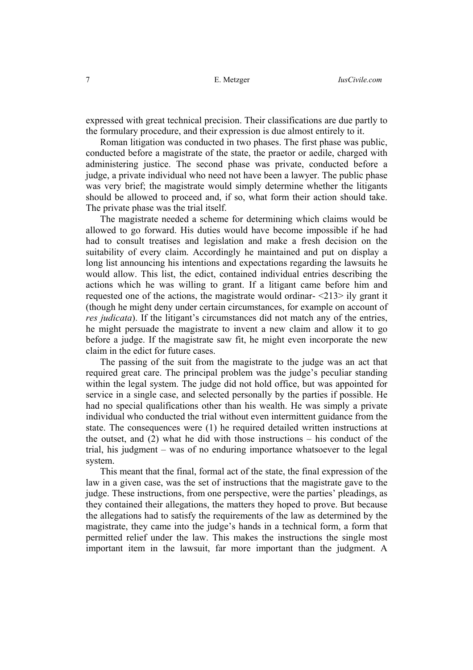expressed with great technical precision. Their classifications are due partly to the formulary procedure, and their expression is due almost entirely to it.

Roman litigation was conducted in two phases. The first phase was public, conducted before a magistrate of the state, the praetor or aedile, charged with administering justice. The second phase was private, conducted before a judge, a private individual who need not have been a lawyer. The public phase was very brief; the magistrate would simply determine whether the litigants should be allowed to proceed and, if so, what form their action should take. The private phase was the trial itself.

The magistrate needed a scheme for determining which claims would be allowed to go forward. His duties would have become impossible if he had had to consult treatises and legislation and make a fresh decision on the suitability of every claim. Accordingly he maintained and put on display a long list announcing his intentions and expectations regarding the lawsuits he would allow. This list, the edict, contained individual entries describing the actions which he was willing to grant. If a litigant came before him and requested one of the actions, the magistrate would ordinar- <213> ily grant it (though he might deny under certain circumstances, for example on account of *res judicata*). If the litigant's circumstances did not match any of the entries, he might persuade the magistrate to invent a new claim and allow it to go before a judge. If the magistrate saw fit, he might even incorporate the new claim in the edict for future cases.

The passing of the suit from the magistrate to the judge was an act that required great care. The principal problem was the judge's peculiar standing within the legal system. The judge did not hold office, but was appointed for service in a single case, and selected personally by the parties if possible. He had no special qualifications other than his wealth. He was simply a private individual who conducted the trial without even intermittent guidance from the state. The consequences were (1) he required detailed written instructions at the outset, and (2) what he did with those instructions – his conduct of the trial, his judgment – was of no enduring importance whatsoever to the legal system.

This meant that the final, formal act of the state, the final expression of the law in a given case, was the set of instructions that the magistrate gave to the judge. These instructions, from one perspective, were the parties' pleadings, as they contained their allegations, the matters they hoped to prove. But because the allegations had to satisfy the requirements of the law as determined by the magistrate, they came into the judge's hands in a technical form, a form that permitted relief under the law. This makes the instructions the single most important item in the lawsuit, far more important than the judgment. A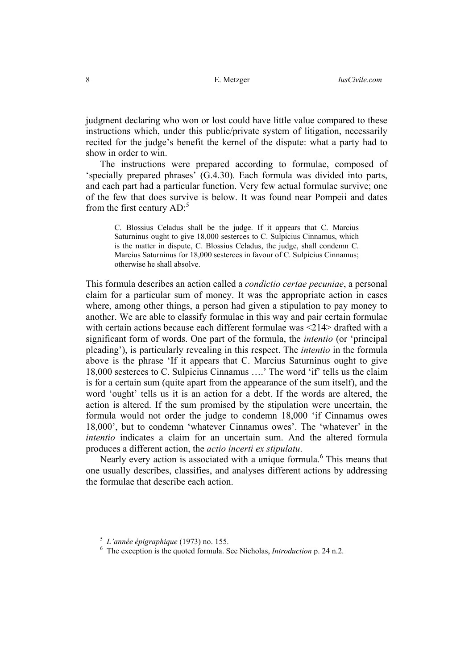judgment declaring who won or lost could have little value compared to these instructions which, under this public/private system of litigation, necessarily recited for the judge's benefit the kernel of the dispute: what a party had to show in order to win.

The instructions were prepared according to formulae, composed of 'specially prepared phrases' (G.4.30). Each formula was divided into parts, and each part had a particular function. Very few actual formulae survive; one of the few that does survive is below. It was found near Pompeii and dates from the first century  $AD$ :<sup>[5](#page-7-0)</sup>

C. Blossius Celadus shall be the judge. If it appears that C. Marcius Saturninus ought to give 18,000 sesterces to C. Sulpicius Cinnamus, which is the matter in dispute, C. Blossius Celadus, the judge, shall condemn C. Marcius Saturninus for 18,000 sesterces in favour of C. Sulpicius Cinnamus; otherwise he shall absolve.

This formula describes an action called a *condictio certae pecuniae*, a personal claim for a particular sum of money. It was the appropriate action in cases where, among other things, a person had given a stipulation to pay money to another. We are able to classify formulae in this way and pair certain formulae with certain actions because each different formulae was <214> drafted with a significant form of words. One part of the formula, the *intentio* (or 'principal pleading'), is particularly revealing in this respect. The *intentio* in the formula above is the phrase 'If it appears that C. Marcius Saturninus ought to give 18,000 sesterces to C. Sulpicius Cinnamus ….' The word 'if' tells us the claim is for a certain sum (quite apart from the appearance of the sum itself), and the word 'ought' tells us it is an action for a debt. If the words are altered, the action is altered. If the sum promised by the stipulation were uncertain, the formula would not order the judge to condemn 18,000 'if Cinnamus owes 18,000', but to condemn 'whatever Cinnamus owes'. The 'whatever' in the *intentio* indicates a claim for an uncertain sum. And the altered formula produces a different action, the *actio incerti ex stipulatu*.

Nearly every action is associated with a unique formula.<sup>6</sup> This means that one usually describes, classifies, and analyses different actions by addressing the formulae that describe each action.

<span id="page-7-0"></span><sup>&</sup>lt;sup>5</sup>  $L'$ *année épigraphique* (1973) no. 155.

<span id="page-7-1"></span>The exception is the quoted formula. See Nicholas, *Introduction* p. 24 n.2.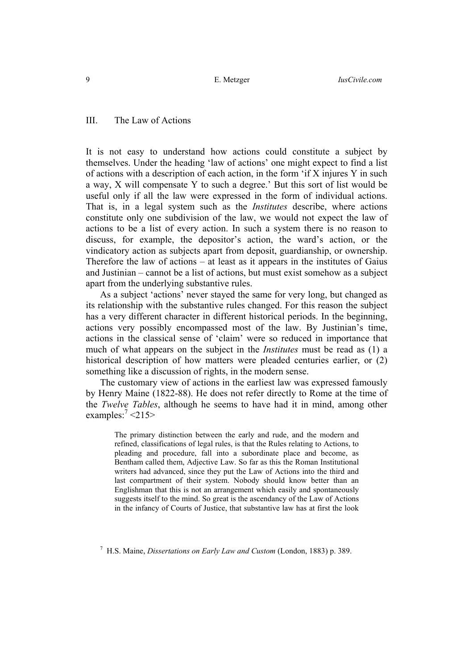# III. The Law of Actions

It is not easy to understand how actions could constitute a subject by themselves. Under the heading 'law of actions' one might expect to find a list of actions with a description of each action, in the form 'if X injures Y in such a way, X will compensate Y to such a degree.' But this sort of list would be useful only if all the law were expressed in the form of individual actions. That is, in a legal system such as the *Institutes* describe, where actions constitute only one subdivision of the law, we would not expect the law of actions to be a list of every action. In such a system there is no reason to discuss, for example, the depositor's action, the ward's action, or the vindicatory action as subjects apart from deposit, guardianship, or ownership. Therefore the law of actions  $-$  at least as it appears in the institutes of Gaius and Justinian – cannot be a list of actions, but must exist somehow as a subject apart from the underlying substantive rules.

As a subject 'actions' never stayed the same for very long, but changed as its relationship with the substantive rules changed. For this reason the subject has a very different character in different historical periods. In the beginning, actions very possibly encompassed most of the law. By Justinian's time, actions in the classical sense of 'claim' were so reduced in importance that much of what appears on the subject in the *Institutes* must be read as (1) a historical description of how matters were pleaded centuries earlier, or (2) something like a discussion of rights, in the modern sense.

The customary view of actions in the earliest law was expressed famously by Henry Maine (1822-88). He does not refer directly to Rome at the time of the *Twelve Tables*, although he seems to have had it in mind, among other examples: $7$  <215>

The primary distinction between the early and rude, and the modern and refined, classifications of legal rules, is that the Rules relating to Actions, to pleading and procedure, fall into a subordinate place and become, as Bentham called them, Adjective Law. So far as this the Roman Institutional writers had advanced, since they put the Law of Actions into the third and last compartment of their system. Nobody should know better than an Englishman that this is not an arrangement which easily and spontaneously suggests itself to the mind. So great is the ascendancy of the Law of Actions in the infancy of Courts of Justice, that substantive law has at first the look

<span id="page-8-0"></span>7 H.S. Maine, *Dissertations on Early Law and Custom* (London, 1883) p. 389.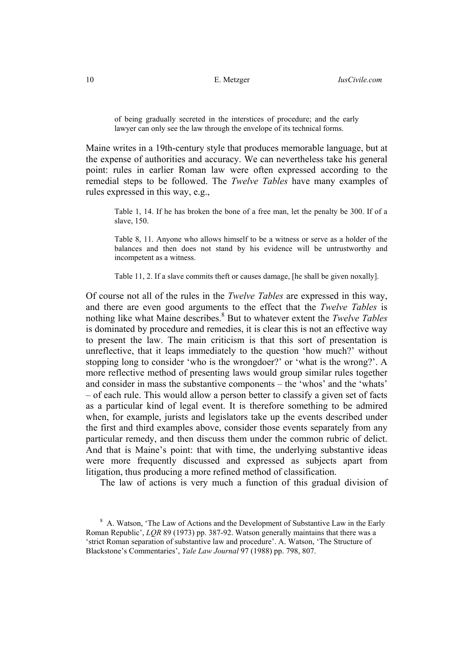of being gradually secreted in the interstices of procedure; and the early lawyer can only see the law through the envelope of its technical forms.

Maine writes in a 19th-century style that produces memorable language, but at the expense of authorities and accuracy. We can nevertheless take his general point: rules in earlier Roman law were often expressed according to the remedial steps to be followed. The *Twelve Tables* have many examples of rules expressed in this way, e.g.,

Table 1, 14. If he has broken the bone of a free man, let the penalty be 300. If of a slave, 150.

Table 8, 11. Anyone who allows himself to be a witness or serve as a holder of the balances and then does not stand by his evidence will be untrustworthy and incompetent as a witness.

Table 11, 2. If a slave commits theft or causes damage, [he shall be given noxally].

Of course not all of the rules in the *Twelve Tables* are expressed in this way, and there are even good arguments to the effect that the *Twelve Tables* is nothing like what Maine describes[.8](#page-9-0) But to whatever extent the *Twelve Tables* is dominated by procedure and remedies, it is clear this is not an effective way to present the law. The main criticism is that this sort of presentation is unreflective, that it leaps immediately to the question 'how much?' without stopping long to consider 'who is the wrongdoer?' or 'what is the wrong?'. A more reflective method of presenting laws would group similar rules together and consider in mass the substantive components – the 'whos' and the 'whats' – of each rule. This would allow a person better to classify a given set of facts as a particular kind of legal event. It is therefore something to be admired when, for example, jurists and legislators take up the events described under the first and third examples above, consider those events separately from any particular remedy, and then discuss them under the common rubric of delict. And that is Maine's point: that with time, the underlying substantive ideas were more frequently discussed and expressed as subjects apart from litigation, thus producing a more refined method of classification.

The law of actions is very much a function of this gradual division of

<span id="page-9-0"></span><sup>&</sup>lt;sup>8</sup> A. Watson, 'The Law of Actions and the Development of Substantive Law in the Early Roman Republic', *LQR* 89 (1973) pp. 387-92. Watson generally maintains that there was a 'strict Roman separation of substantive law and procedure'. A. Watson, 'The Structure of Blackstone's Commentaries', *Yale Law Journal* 97 (1988) pp. 798, 807.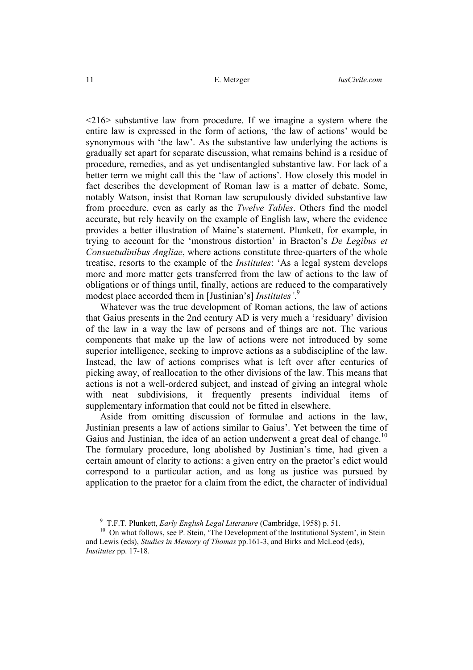$\leq$ 216> substantive law from procedure. If we imagine a system where the entire law is expressed in the form of actions, 'the law of actions' would be synonymous with 'the law'. As the substantive law underlying the actions is gradually set apart for separate discussion, what remains behind is a residue of procedure, remedies, and as yet undisentangled substantive law. For lack of a better term we might call this the 'law of actions'. How closely this model in fact describes the development of Roman law is a matter of debate. Some, notably Watson, insist that Roman law scrupulously divided substantive law from procedure, even as early as the *Twelve Tables*. Others find the model accurate, but rely heavily on the example of English law, where the evidence provides a better illustration of Maine's statement. Plunkett, for example, in trying to account for the 'monstrous distortion' in Bracton's *De Legibus et Consuetudinibus Angliae*, where actions constitute three-quarters of the whole treatise, resorts to the example of the *Institutes*: 'As a legal system develops more and more matter gets transferred from the law of actions to the law of obligations or of things until, finally, actions are reduced to the comparatively modest place accorded them in [Justinian's] *Institutes'*. [9](#page-10-0)

Whatever was the true development of Roman actions, the law of actions that Gaius presents in the 2nd century AD is very much a 'residuary' division of the law in a way the law of persons and of things are not. The various components that make up the law of actions were not introduced by some superior intelligence, seeking to improve actions as a subdiscipline of the law. Instead, the law of actions comprises what is left over after centuries of picking away, of reallocation to the other divisions of the law. This means that actions is not a well-ordered subject, and instead of giving an integral whole with neat subdivisions, it frequently presents individual items of supplementary information that could not be fitted in elsewhere.

Aside from omitting discussion of formulae and actions in the law, Justinian presents a law of actions similar to Gaius'. Yet between the time of Gaius and Justinian, the idea of an action underwent a great deal of change.<sup>10</sup> The formulary procedure, long abolished by Justinian's time, had given a certain amount of clarity to actions: a given entry on the praetor's edict would correspond to a particular action, and as long as justice was pursued by application to the praetor for a claim from the edict, the character of individual

<span id="page-10-1"></span><span id="page-10-0"></span><sup>&</sup>lt;sup>9</sup> T.F.T. Plunkett, *Early English Legal Literature* (Cambridge, 1958) p. 51.

<sup>&</sup>lt;sup>10</sup> On what follows, see P. Stein, 'The Development of the Institutional System', in Stein and Lewis (eds), *Studies in Memory of Thomas* pp.161-3, and Birks and McLeod (eds), *Institutes* pp. 17-18.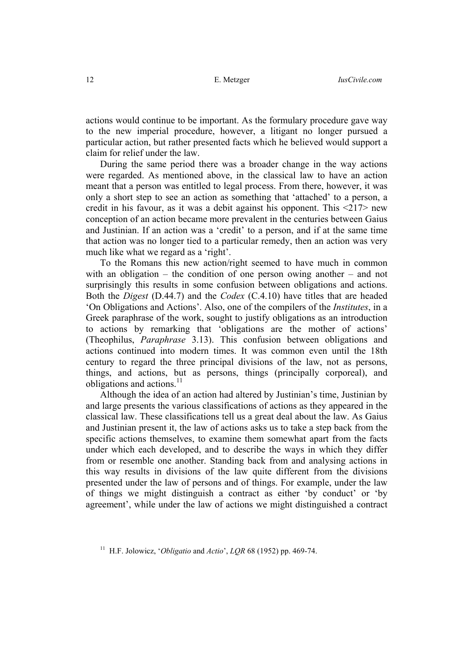actions would continue to be important. As the formulary procedure gave way to the new imperial procedure, however, a litigant no longer pursued a particular action, but rather presented facts which he believed would support a claim for relief under the law.

During the same period there was a broader change in the way actions were regarded. As mentioned above, in the classical law to have an action meant that a person was entitled to legal process. From there, however, it was only a short step to see an action as something that 'attached' to a person, a credit in his favour, as it was a debit against his opponent. This <217> new conception of an action became more prevalent in the centuries between Gaius and Justinian. If an action was a 'credit' to a person, and if at the same time that action was no longer tied to a particular remedy, then an action was very much like what we regard as a 'right'.

To the Romans this new action/right seemed to have much in common with an obligation – the condition of one person owing another – and not surprisingly this results in some confusion between obligations and actions. Both the *Digest* (D.44.7) and the *Codex* (C.4.10) have titles that are headed 'On Obligations and Actions'. Also, one of the compilers of the *Institutes*, in a Greek paraphrase of the work, sought to justify obligations as an introduction to actions by remarking that 'obligations are the mother of actions' (Theophilus, *Paraphrase* 3.13). This confusion between obligations and actions continued into modern times. It was common even until the 18th century to regard the three principal divisions of the law, not as persons, things, and actions, but as persons, things (principally corporeal), and obligations and actions.<sup>[11](#page-11-0)</sup>

Although the idea of an action had altered by Justinian's time, Justinian by and large presents the various classifications of actions as they appeared in the classical law. These classifications tell us a great deal about the law. As Gaius and Justinian present it, the law of actions asks us to take a step back from the specific actions themselves, to examine them somewhat apart from the facts under which each developed, and to describe the ways in which they differ from or resemble one another. Standing back from and analysing actions in this way results in divisions of the law quite different from the divisions presented under the law of persons and of things. For example, under the law of things we might distinguish a contract as either 'by conduct' or 'by agreement', while under the law of actions we might distinguished a contract

<span id="page-11-0"></span>11 H.F. Jolowicz, '*Obligatio* and *Actio*', *LQR* 68 (1952) pp. 469-74.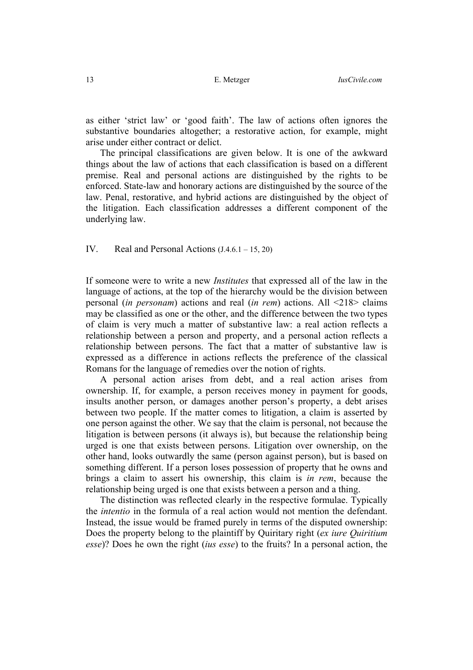as either 'strict law' or 'good faith'. The law of actions often ignores the substantive boundaries altogether; a restorative action, for example, might arise under either contract or delict.

The principal classifications are given below. It is one of the awkward things about the law of actions that each classification is based on a different premise. Real and personal actions are distinguished by the rights to be enforced. State-law and honorary actions are distinguished by the source of the law. Penal, restorative, and hybrid actions are distinguished by the object of the litigation. Each classification addresses a different component of the underlying law.

IV. Real and Personal Actions (J.4.6.1 – 15, 20)

If someone were to write a new *Institutes* that expressed all of the law in the language of actions, at the top of the hierarchy would be the division between personal (*in personam*) actions and real (*in rem*) actions. All <218> claims may be classified as one or the other, and the difference between the two types of claim is very much a matter of substantive law: a real action reflects a relationship between a person and property, and a personal action reflects a relationship between persons. The fact that a matter of substantive law is expressed as a difference in actions reflects the preference of the classical Romans for the language of remedies over the notion of rights.

A personal action arises from debt, and a real action arises from ownership. If, for example, a person receives money in payment for goods, insults another person, or damages another person's property, a debt arises between two people. If the matter comes to litigation, a claim is asserted by one person against the other. We say that the claim is personal, not because the litigation is between persons (it always is), but because the relationship being urged is one that exists between persons. Litigation over ownership, on the other hand, looks outwardly the same (person against person), but is based on something different. If a person loses possession of property that he owns and brings a claim to assert his ownership, this claim is *in rem*, because the relationship being urged is one that exists between a person and a thing.

The distinction was reflected clearly in the respective formulae. Typically the *intentio* in the formula of a real action would not mention the defendant. Instead, the issue would be framed purely in terms of the disputed ownership: Does the property belong to the plaintiff by Quiritary right (*ex iure Quiritium esse*)? Does he own the right (*ius esse*) to the fruits? In a personal action, the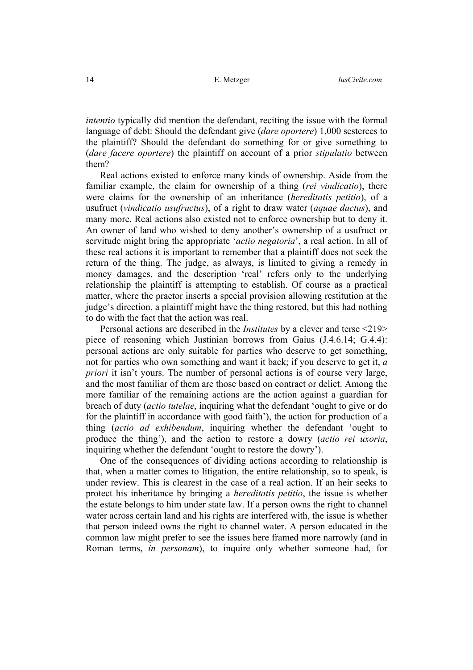*intentio* typically did mention the defendant, reciting the issue with the formal language of debt: Should the defendant give (*dare oportere*) 1,000 sesterces to the plaintiff? Should the defendant do something for or give something to (*dare facere oportere*) the plaintiff on account of a prior *stipulatio* between them?

Real actions existed to enforce many kinds of ownership. Aside from the familiar example, the claim for ownership of a thing (*rei vindicatio*), there were claims for the ownership of an inheritance (*hereditatis petitio*), of a usufruct (*vindicatio usufructus*), of a right to draw water (*aquae ductus*), and many more. Real actions also existed not to enforce ownership but to deny it. An owner of land who wished to deny another's ownership of a usufruct or servitude might bring the appropriate '*actio negatoria*', a real action. In all of these real actions it is important to remember that a plaintiff does not seek the return of the thing. The judge, as always, is limited to giving a remedy in money damages, and the description 'real' refers only to the underlying relationship the plaintiff is attempting to establish. Of course as a practical matter, where the praetor inserts a special provision allowing restitution at the judge's direction, a plaintiff might have the thing restored, but this had nothing to do with the fact that the action was real.

Personal actions are described in the *Institutes* by a clever and terse <219> piece of reasoning which Justinian borrows from Gaius (J.4.6.14; G.4.4): personal actions are only suitable for parties who deserve to get something, not for parties who own something and want it back; if you deserve to get it, *a priori* it isn't yours. The number of personal actions is of course very large, and the most familiar of them are those based on contract or delict. Among the more familiar of the remaining actions are the action against a guardian for breach of duty (*actio tutelae*, inquiring what the defendant 'ought to give or do for the plaintiff in accordance with good faith'), the action for production of a thing (*actio ad exhibendum*, inquiring whether the defendant 'ought to produce the thing'), and the action to restore a dowry (*actio rei uxoria*, inquiring whether the defendant 'ought to restore the dowry').

One of the consequences of dividing actions according to relationship is that, when a matter comes to litigation, the entire relationship, so to speak, is under review. This is clearest in the case of a real action. If an heir seeks to protect his inheritance by bringing a *hereditatis petitio*, the issue is whether the estate belongs to him under state law. If a person owns the right to channel water across certain land and his rights are interfered with, the issue is whether that person indeed owns the right to channel water. A person educated in the common law might prefer to see the issues here framed more narrowly (and in Roman terms, *in personam*), to inquire only whether someone had, for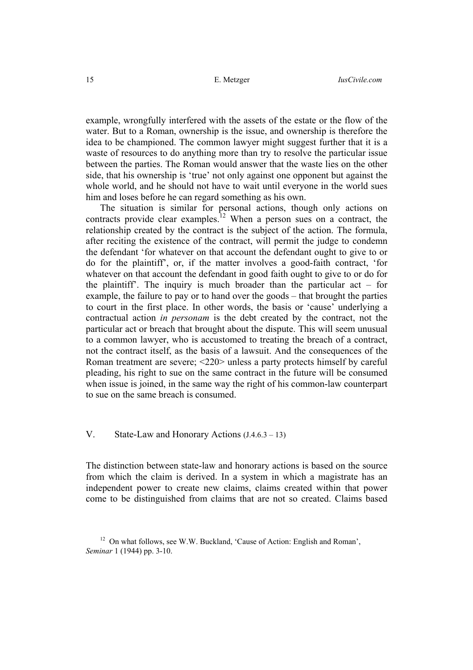example, wrongfully interfered with the assets of the estate or the flow of the water. But to a Roman, ownership is the issue, and ownership is therefore the idea to be championed. The common lawyer might suggest further that it is a waste of resources to do anything more than try to resolve the particular issue between the parties. The Roman would answer that the waste lies on the other side, that his ownership is 'true' not only against one opponent but against the whole world, and he should not have to wait until everyone in the world sues him and loses before he can regard something as his own.

The situation is similar for personal actions, though only actions on contracts provide clear examples.<sup>12</sup> When a person sues on a contract, the relationship created by the contract is the subject of the action. The formula, after reciting the existence of the contract, will permit the judge to condemn the defendant 'for whatever on that account the defendant ought to give to or do for the plaintiff', or, if the matter involves a good-faith contract, 'for whatever on that account the defendant in good faith ought to give to or do for the plaintiff'. The inquiry is much broader than the particular  $act - for$ example, the failure to pay or to hand over the goods – that brought the parties to court in the first place. In other words, the basis or 'cause' underlying a contractual action *in personam* is the debt created by the contract, not the particular act or breach that brought about the dispute. This will seem unusual to a common lawyer, who is accustomed to treating the breach of a contract, not the contract itself, as the basis of a lawsuit. And the consequences of the Roman treatment are severe; <220> unless a party protects himself by careful pleading, his right to sue on the same contract in the future will be consumed when issue is joined, in the same way the right of his common-law counterpart to sue on the same breach is consumed.

# V. State-Law and Honorary Actions (J.4.6.3 – 13)

The distinction between state-law and honorary actions is based on the source from which the claim is derived. In a system in which a magistrate has an independent power to create new claims, claims created within that power come to be distinguished from claims that are not so created. Claims based

<span id="page-14-0"></span><sup>&</sup>lt;sup>12</sup> On what follows, see W.W. Buckland, 'Cause of Action: English and Roman', *Seminar* 1 (1944) pp. 3-10.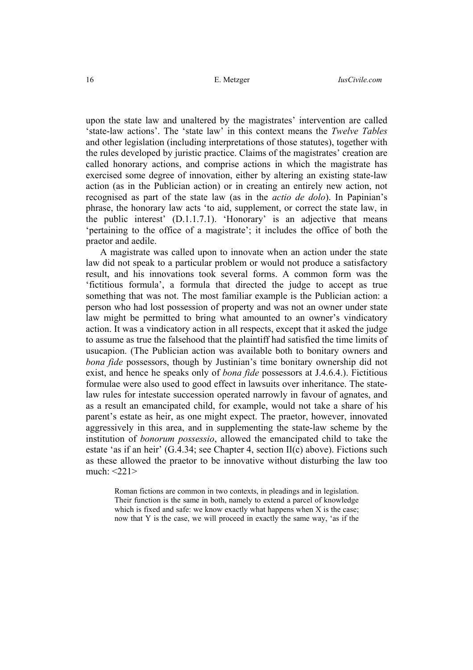upon the state law and unaltered by the magistrates' intervention are called 'state-law actions'. The 'state law' in this context means the *Twelve Tables* and other legislation (including interpretations of those statutes), together with the rules developed by juristic practice. Claims of the magistrates' creation are called honorary actions, and comprise actions in which the magistrate has exercised some degree of innovation, either by altering an existing state-law action (as in the Publician action) or in creating an entirely new action, not recognised as part of the state law (as in the *actio de dolo*). In Papinian's phrase, the honorary law acts 'to aid, supplement, or correct the state law, in the public interest' (D.1.1.7.1). 'Honorary' is an adjective that means 'pertaining to the office of a magistrate'; it includes the office of both the praetor and aedile.

A magistrate was called upon to innovate when an action under the state law did not speak to a particular problem or would not produce a satisfactory result, and his innovations took several forms. A common form was the 'fictitious formula', a formula that directed the judge to accept as true something that was not. The most familiar example is the Publician action: a person who had lost possession of property and was not an owner under state law might be permitted to bring what amounted to an owner's vindicatory action. It was a vindicatory action in all respects, except that it asked the judge to assume as true the falsehood that the plaintiff had satisfied the time limits of usucapion. (The Publician action was available both to bonitary owners and *bona fide* possessors, though by Justinian's time bonitary ownership did not exist, and hence he speaks only of *bona fide* possessors at J.4.6.4.). Fictitious formulae were also used to good effect in lawsuits over inheritance. The statelaw rules for intestate succession operated narrowly in favour of agnates, and as a result an emancipated child, for example, would not take a share of his parent's estate as heir, as one might expect. The praetor, however, innovated aggressively in this area, and in supplementing the state-law scheme by the institution of *bonorum possessio*, allowed the emancipated child to take the estate 'as if an heir' (G.4.34; see Chapter 4, section II(c) above). Fictions such as these allowed the praetor to be innovative without disturbing the law too much: <221>

Roman fictions are common in two contexts, in pleadings and in legislation. Their function is the same in both, namely to extend a parcel of knowledge which is fixed and safe: we know exactly what happens when X is the case; now that Y is the case, we will proceed in exactly the same way, 'as if the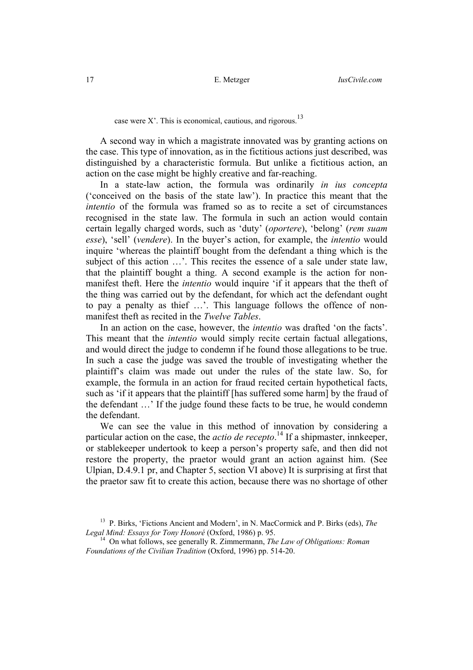case were X'[.](#page-16-0) This is economical, cautious, and rigorous.<sup>13</sup>

A second way in which a magistrate innovated was by granting actions on the case. This type of innovation, as in the fictitious actions just described, was distinguished by a characteristic formula. But unlike a fictitious action, an action on the case might be highly creative and far-reaching.

In a state-law action, the formula was ordinarily *in ius concepta* ('conceived on the basis of the state law'). In practice this meant that the *intentio* of the formula was framed so as to recite a set of circumstances recognised in the state law. The formula in such an action would contain certain legally charged words, such as 'duty' (*oportere*), 'belong' (*rem suam esse*), 'sell' (*vendere*). In the buyer's action, for example, the *intentio* would inquire 'whereas the plaintiff bought from the defendant a thing which is the subject of this action …'. This recites the essence of a sale under state law, that the plaintiff bought a thing. A second example is the action for nonmanifest theft. Here the *intentio* would inquire 'if it appears that the theft of the thing was carried out by the defendant, for which act the defendant ought to pay a penalty as thief …'. This language follows the offence of nonmanifest theft as recited in the *Twelve Tables*.

In an action on the case, however, the *intentio* was drafted 'on the facts'. This meant that the *intentio* would simply recite certain factual allegations, and would direct the judge to condemn if he found those allegations to be true. In such a case the judge was saved the trouble of investigating whether the plaintiff's claim was made out under the rules of the state law. So, for example, the formula in an action for fraud recited certain hypothetical facts, such as 'if it appears that the plaintiff [has suffered some harm] by the fraud of the defendant …' If the judge found these facts to be true, he would condemn the defendant.

We can see the value in this method of innovation by considering a particular action on the case, the *actio de recepto*. [14](#page-16-1) If a shipmaster, innkeeper, or stablekeeper undertook to keep a person's property safe, and then did not restore the property, the praetor would grant an action against him. (See Ulpian, D.4.9.1 pr, and Chapter 5, section VI above) It is surprising at first that the praetor saw fit to create this action, because there was no shortage of other

<span id="page-16-0"></span><sup>&</sup>lt;sup>13</sup> P. Birks, 'Fictions Ancient and Modern', in N. MacCormick and P. Birks (eds), *The Legal Mind: Essays for Tony Honoré* (Oxford, 1986) p. 95.

<span id="page-16-1"></span><sup>&</sup>lt;sup>14</sup> On what follows, see generally R. Zimmermann, *The Law of Obligations: Roman Foundations of the Civilian Tradition* (Oxford, 1996) pp. 514-20.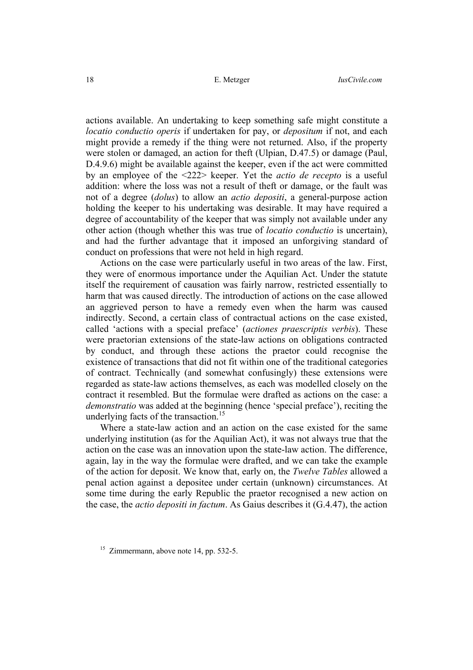actions available. An undertaking to keep something safe might constitute a *locatio conductio operis* if undertaken for pay, or *depositum* if not, and each might provide a remedy if the thing were not returned. Also, if the property were stolen or damaged, an action for theft (Ulpian, D.47.5) or damage (Paul, D.4.9.6) might be available against the keeper, even if the act were committed by an employee of the <222> keeper. Yet the *actio de recepto* is a useful addition: where the loss was not a result of theft or damage, or the fault was not of a degree (*dolus*) to allow an *actio depositi*, a general-purpose action holding the keeper to his undertaking was desirable. It may have required a degree of accountability of the keeper that was simply not available under any other action (though whether this was true of *locatio conductio* is uncertain), and had the further advantage that it imposed an unforgiving standard of conduct on professions that were not held in high regard.

Actions on the case were particularly useful in two areas of the law. First, they were of enormous importance under the Aquilian Act. Under the statute itself the requirement of causation was fairly narrow, restricted essentially to harm that was caused directly. The introduction of actions on the case allowed an aggrieved person to have a remedy even when the harm was caused indirectly. Second, a certain class of contractual actions on the case existed, called 'actions with a special preface' (*actiones praescriptis verbis*). These were praetorian extensions of the state-law actions on obligations contracted by conduct, and through these actions the praetor could recognise the existence of transactions that did not fit within one of the traditional categories of contract. Technically (and somewhat confusingly) these extensions were regarded as state-law actions themselves, as each was modelled closely on the contract it resembled. But the formulae were drafted as actions on the case: a *demonstratio* was added at the beginning (hence 'special preface'), reciting the underlying facts of the transaction.<sup>15</sup>

Where a state-law action and an action on the case existed for the same underlying institution (as for the Aquilian Act), it was not always true that the action on the case was an innovation upon the state-law action. The difference, again, lay in the way the formulae were drafted, and we can take the example of the action for deposit. We know that, early on, the *Twelve Tables* allowed a penal action against a depositee under certain (unknown) circumstances. At some time during the early Republic the praetor recognised a new action on the case, the *actio depositi in factum*. As Gaius describes it (G.4.47), the action

<span id="page-17-0"></span><sup>&</sup>lt;sup>15</sup> Zimmermann, above note 14, pp. 532-5.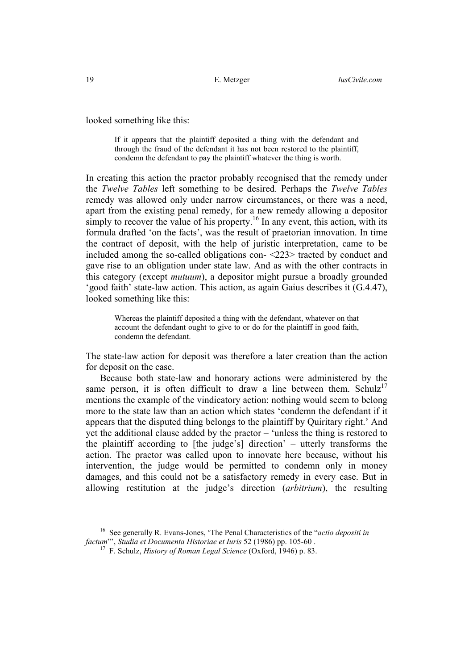looked something like this:

If it appears that the plaintiff deposited a thing with the defendant and through the fraud of the defendant it has not been restored to the plaintiff, condemn the defendant to pay the plaintiff whatever the thing is worth.

In creating this action the praetor probably recognised that the remedy under the *Twelve Tables* left something to be desired. Perhaps the *Twelve Tables* remedy was allowed only under narrow circumstances, or there was a need, apart from the existing penal remedy, for a new remedy allowing a depositor simply to recover the value of his property.<sup>16</sup> In any event, this action, with its formula drafted 'on the facts', was the result of praetorian innovation. In time the contract of deposit, with the help of juristic interpretation, came to be included among the so-called obligations con- <223> tracted by conduct and gave rise to an obligation under state law. And as with the other contracts in this category (except *mutuum*), a depositor might pursue a broadly grounded 'good faith' state-law action. This action, as again Gaius describes it (G.4.47), looked something like this:

Whereas the plaintiff deposited a thing with the defendant, whatever on that account the defendant ought to give to or do for the plaintiff in good faith, condemn the defendant.

The state-law action for deposit was therefore a later creation than the action for deposit on the case.

Because both state-law and honorary actions were administered by the same person, it is often difficult to draw a line between them. Schulz<sup>17</sup> mentions the example of the vindicatory action: nothing would seem to belong more to the state law than an action which states 'condemn the defendant if it appears that the disputed thing belongs to the plaintiff by Quiritary right.' And yet the additional clause added by the praetor – 'unless the thing is restored to the plaintiff according to [the judge's] direction' – utterly transforms the action. The praetor was called upon to innovate here because, without his intervention, the judge would be permitted to condemn only in money damages, and this could not be a satisfactory remedy in every case. But in allowing restitution at the judge's direction (*arbitrium*), the resulting

<sup>&</sup>lt;sup>16</sup> See generally R. Evans-Jones, 'The Penal Characteristics of the "*actio depositi in factum*", *Studia et Documenta Historiae et Iuris* 52 (1986) pp. 105-60.

<span id="page-18-0"></span>

<span id="page-18-1"></span><sup>&</sup>lt;sup>17</sup> F. Schulz, *History of Roman Legal Science* (Oxford, 1946) p. 83.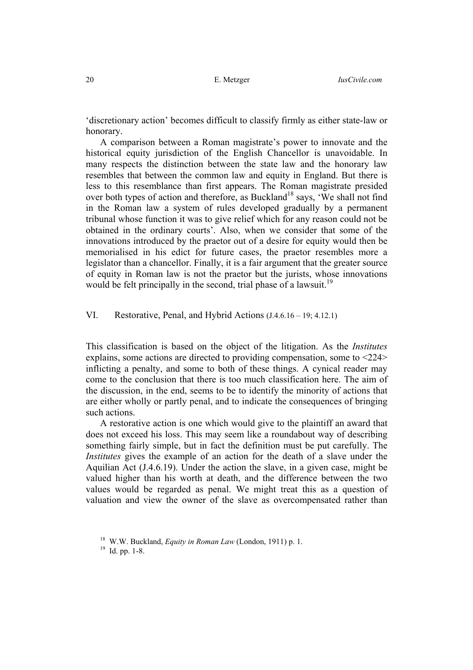'discretionary action' becomes difficult to classify firmly as either state-law or honorary.

A comparison between a Roman magistrate's power to innovate and the historical equity jurisdiction of the English Chancellor is unavoidable. In many respects the distinction between the state law and the honorary law resembles that between the common law and equity in England. But there is less to this resemblance than first appears. The Roman magistrate presided over both types of action and therefore, as Buckland<sup>18</sup> says, 'We shall not find in the Roman law a system of rules developed gradually by a permanent tribunal whose function it was to give relief which for any reason could not be obtained in the ordinary courts'. Also, when we consider that some of the innovations introduced by the praetor out of a desire for equity would then be memorialised in his edict for future cases, the praetor resembles more a legislator than a chancellor. Finally, it is a fair argument that the greater source of equity in Roman law is not the praetor but the jurists, whose innovations would be felt principally in the second, trial phase of a lawsuit.<sup>19</sup>

### VI. Restorative, Penal, and Hybrid Actions (J.4.6.16 – 19; 4.12.1)

This classification is based on the object of the litigation. As the *Institutes* explains, some actions are directed to providing compensation, some to <224> inflicting a penalty, and some to both of these things. A cynical reader may come to the conclusion that there is too much classification here. The aim of the discussion, in the end, seems to be to identify the minority of actions that are either wholly or partly penal, and to indicate the consequences of bringing such actions.

A restorative action is one which would give to the plaintiff an award that does not exceed his loss. This may seem like a roundabout way of describing something fairly simple, but in fact the definition must be put carefully. The *Institutes* gives the example of an action for the death of a slave under the Aquilian Act (J.4.6.19). Under the action the slave, in a given case, might be valued higher than his worth at death, and the difference between the two values would be regarded as penal. We might treat this as a question of valuation and view the owner of the slave as overcompensated rather than

<span id="page-19-0"></span><sup>&</sup>lt;sup>18</sup> W.W. Buckland, *Equity in Roman Law* (London, 1911) p. 1.<br><sup>19</sup> Id. pp. 1-8.

<span id="page-19-1"></span>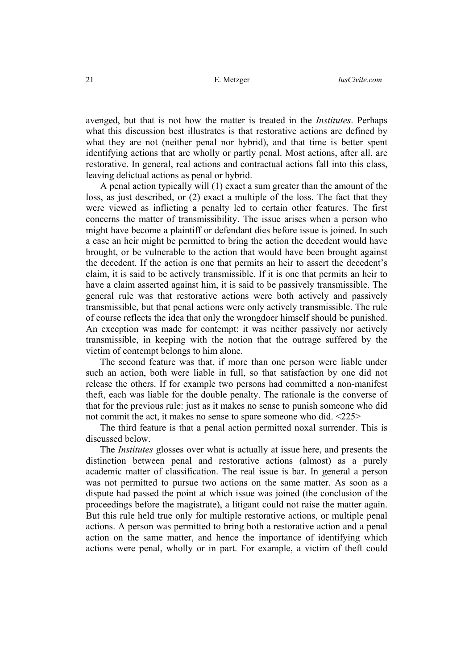avenged, but that is not how the matter is treated in the *Institutes*. Perhaps what this discussion best illustrates is that restorative actions are defined by what they are not (neither penal nor hybrid), and that time is better spent identifying actions that are wholly or partly penal. Most actions, after all, are restorative. In general, real actions and contractual actions fall into this class, leaving delictual actions as penal or hybrid.

A penal action typically will (1) exact a sum greater than the amount of the loss, as just described, or (2) exact a multiple of the loss. The fact that they were viewed as inflicting a penalty led to certain other features. The first concerns the matter of transmissibility. The issue arises when a person who might have become a plaintiff or defendant dies before issue is joined. In such a case an heir might be permitted to bring the action the decedent would have brought, or be vulnerable to the action that would have been brought against the decedent. If the action is one that permits an heir to assert the decedent's claim, it is said to be actively transmissible. If it is one that permits an heir to have a claim asserted against him, it is said to be passively transmissible. The general rule was that restorative actions were both actively and passively transmissible, but that penal actions were only actively transmissible. The rule of course reflects the idea that only the wrongdoer himself should be punished. An exception was made for contempt: it was neither passively nor actively transmissible, in keeping with the notion that the outrage suffered by the victim of contempt belongs to him alone.

The second feature was that, if more than one person were liable under such an action, both were liable in full, so that satisfaction by one did not release the others. If for example two persons had committed a non-manifest theft, each was liable for the double penalty. The rationale is the converse of that for the previous rule: just as it makes no sense to punish someone who did not commit the act, it makes no sense to spare someone who did. <225>

The third feature is that a penal action permitted noxal surrender. This is discussed below.

The *Institutes* glosses over what is actually at issue here, and presents the distinction between penal and restorative actions (almost) as a purely academic matter of classification. The real issue is bar. In general a person was not permitted to pursue two actions on the same matter. As soon as a dispute had passed the point at which issue was joined (the conclusion of the proceedings before the magistrate), a litigant could not raise the matter again. But this rule held true only for multiple restorative actions, or multiple penal actions. A person was permitted to bring both a restorative action and a penal action on the same matter, and hence the importance of identifying which actions were penal, wholly or in part. For example, a victim of theft could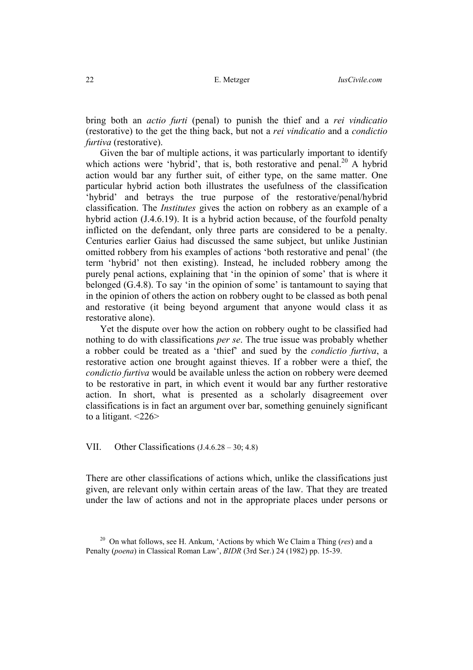bring both an *actio furti* (penal) to punish the thief and a *rei vindicatio* (restorative) to the get the thing back, but not a *rei vindicatio* and a *condictio furtiva* (restorative).

Given the bar of multiple actions, it was particularly important to identify which actions were 'hybrid', that is, both restorative and penal. $^{20}$  A hybrid action would bar any further suit, of either type, on the same matter. One particular hybrid action both illustrates the usefulness of the classification 'hybrid' and betrays the true purpose of the restorative/penal/hybrid classification. The *Institutes* gives the action on robbery as an example of a hybrid action (J.4.6.19). It is a hybrid action because, of the fourfold penalty inflicted on the defendant, only three parts are considered to be a penalty. Centuries earlier Gaius had discussed the same subject, but unlike Justinian omitted robbery from his examples of actions 'both restorative and penal' (the term 'hybrid' not then existing). Instead, he included robbery among the purely penal actions, explaining that 'in the opinion of some' that is where it belonged (G.4.8). To say 'in the opinion of some' is tantamount to saying that in the opinion of others the action on robbery ought to be classed as both penal and restorative (it being beyond argument that anyone would class it as restorative alone).

Yet the dispute over how the action on robbery ought to be classified had nothing to do with classifications *per se*. The true issue was probably whether a robber could be treated as a 'thief' and sued by the *condictio furtiva*, a restorative action one brought against thieves. If a robber were a thief, the *condictio furtiva* would be available unless the action on robbery were deemed to be restorative in part, in which event it would bar any further restorative action. In short, what is presented as a scholarly disagreement over classifications is in fact an argument over bar, something genuinely significant to a litigant.  $\langle 226 \rangle$ 

VII. Other Classifications (J.4.6.28 – 30; 4.8)

There are other classifications of actions which, unlike the classifications just given, are relevant only within certain areas of the law. That they are treated under the law of actions and not in the appropriate places under persons or

<span id="page-21-0"></span><sup>20</sup> On what follows, see H. Ankum, 'Actions by which We Claim a Thing (*res*) and a Penalty (*poena*) in Classical Roman Law', *BIDR* (3rd Ser.) 24 (1982) pp. 15-39.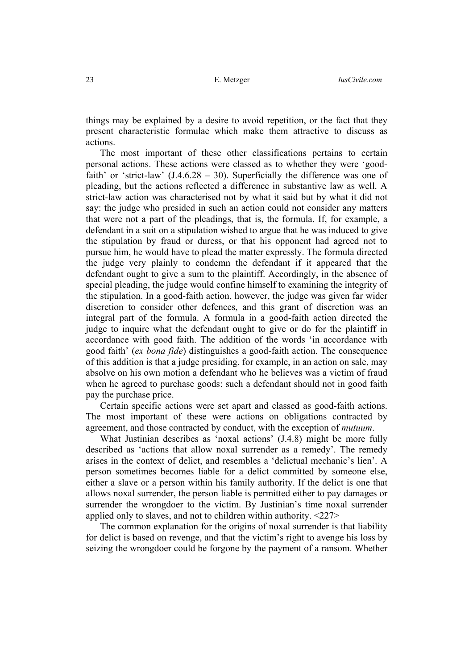things may be explained by a desire to avoid repetition, or the fact that they present characteristic formulae which make them attractive to discuss as actions.

The most important of these other classifications pertains to certain personal actions. These actions were classed as to whether they were 'goodfaith' or 'strict-law'  $(1.4.6.28 - 30)$ . Superficially the difference was one of pleading, but the actions reflected a difference in substantive law as well. A strict-law action was characterised not by what it said but by what it did not say: the judge who presided in such an action could not consider any matters that were not a part of the pleadings, that is, the formula. If, for example, a defendant in a suit on a stipulation wished to argue that he was induced to give the stipulation by fraud or duress, or that his opponent had agreed not to pursue him, he would have to plead the matter expressly. The formula directed the judge very plainly to condemn the defendant if it appeared that the defendant ought to give a sum to the plaintiff. Accordingly, in the absence of special pleading, the judge would confine himself to examining the integrity of the stipulation. In a good-faith action, however, the judge was given far wider discretion to consider other defences, and this grant of discretion was an integral part of the formula. A formula in a good-faith action directed the judge to inquire what the defendant ought to give or do for the plaintiff in accordance with good faith. The addition of the words 'in accordance with good faith' (*ex bona fide*) distinguishes a good-faith action. The consequence of this addition is that a judge presiding, for example, in an action on sale, may absolve on his own motion a defendant who he believes was a victim of fraud when he agreed to purchase goods: such a defendant should not in good faith pay the purchase price.

Certain specific actions were set apart and classed as good-faith actions. The most important of these were actions on obligations contracted by agreement, and those contracted by conduct, with the exception of *mutuum*.

What Justinian describes as 'noxal actions' (J.4.8) might be more fully described as 'actions that allow noxal surrender as a remedy'. The remedy arises in the context of delict, and resembles a 'delictual mechanic's lien'. A person sometimes becomes liable for a delict committed by someone else, either a slave or a person within his family authority. If the delict is one that allows noxal surrender, the person liable is permitted either to pay damages or surrender the wrongdoer to the victim. By Justinian's time noxal surrender applied only to slaves, and not to children within authority. <227>

The common explanation for the origins of noxal surrender is that liability for delict is based on revenge, and that the victim's right to avenge his loss by seizing the wrongdoer could be forgone by the payment of a ransom. Whether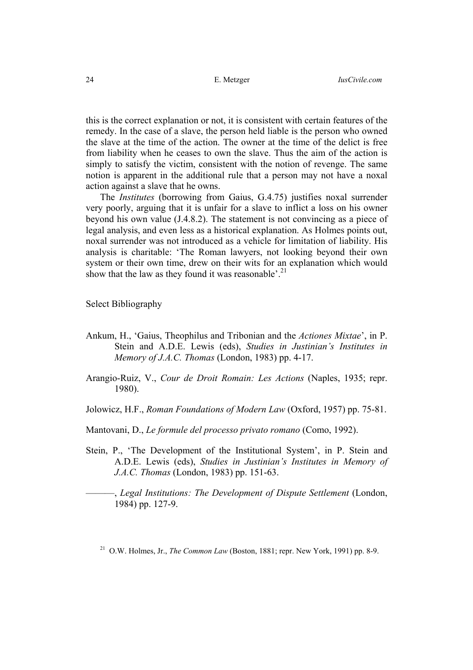this is the correct explanation or not, it is consistent with certain features of the remedy. In the case of a slave, the person held liable is the person who owned the slave at the time of the action. The owner at the time of the delict is free from liability when he ceases to own the slave. Thus the aim of the action is simply to satisfy the victim, consistent with the notion of revenge. The same notion is apparent in the additional rule that a person may not have a noxal action against a slave that he owns.

The *Institutes* (borrowing from Gaius, G.4.75) justifies noxal surrender very poorly, arguing that it is unfair for a slave to inflict a loss on his owner beyond his own value (J.4.8.2). The statement is not convincing as a piece of legal analysis, and even less as a historical explanation. As Holmes points out, noxal surrender was not introduced as a vehicle for limitation of liability. His analysis is charitable: 'The Roman lawyers, not looking beyond their own system or their own time, drew on their wits for an explanation which would show that the law as they found it was reasonable'.<sup>[21](#page-23-0)</sup>

Select Bibliography

- Ankum, H., 'Gaius, Theophilus and Tribonian and the *Actiones Mixtae*', in P. Stein and A.D.E. Lewis (eds), *Studies in Justinian's Institutes in Memory of J.A.C. Thomas* (London, 1983) pp. 4-17.
- Arangio-Ruiz, V., *Cour de Droit Romain: Les Actions* (Naples, 1935; repr. 1980).

Jolowicz, H.F., *Roman Foundations of Modern Law* (Oxford, 1957) pp. 75-81.

Mantovani, D., *Le formule del processo privato romano* (Como, 1992).

Stein, P., 'The Development of the Institutional System', in P. Stein and A.D.E. Lewis (eds), *Studies in Justinian's Institutes in Memory of J.A.C. Thomas* (London, 1983) pp. 151-63.

———, *Legal Institutions: The Development of Dispute Settlement* (London, 1984) pp. 127-9.

<span id="page-23-0"></span><sup>&</sup>lt;sup>21</sup> O.W. Holmes, Jr., *The Common Law* (Boston, 1881; repr. New York, 1991) pp. 8-9.